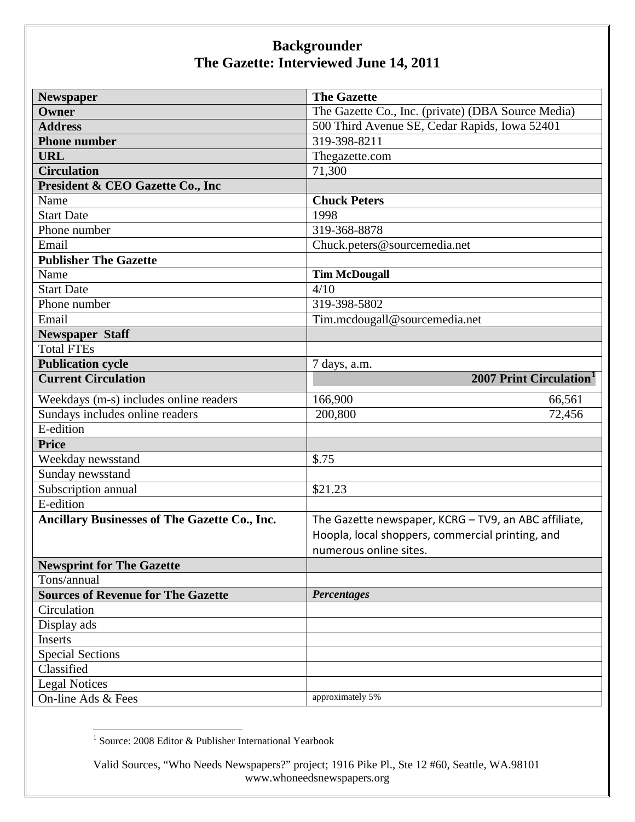| <b>Newspaper</b>                                     | <b>The Gazette</b>                                   |
|------------------------------------------------------|------------------------------------------------------|
| Owner                                                | The Gazette Co., Inc. (private) (DBA Source Media)   |
| <b>Address</b>                                       | 500 Third Avenue SE, Cedar Rapids, Iowa 52401        |
| <b>Phone number</b>                                  | 319-398-8211                                         |
| <b>URL</b>                                           | Thegazette.com                                       |
| <b>Circulation</b>                                   | 71,300                                               |
| President & CEO Gazette Co., Inc                     |                                                      |
| Name                                                 | <b>Chuck Peters</b>                                  |
| <b>Start Date</b>                                    | 1998                                                 |
| Phone number                                         | 319-368-8878                                         |
| Email                                                | Chuck.peters@sourcemedia.net                         |
| <b>Publisher The Gazette</b>                         |                                                      |
| Name                                                 | <b>Tim McDougall</b>                                 |
| <b>Start Date</b>                                    | 4/10                                                 |
| Phone number                                         | 319-398-5802                                         |
| Email                                                | Tim.mcdougall@sourcemedia.net                        |
| <b>Newspaper Staff</b>                               |                                                      |
| <b>Total FTEs</b>                                    |                                                      |
| <b>Publication cycle</b>                             | 7 days, a.m.                                         |
| <b>Current Circulation</b>                           | 2007 Print Circulation <sup>1</sup>                  |
| Weekdays (m-s) includes online readers               | 166,900<br>66,561                                    |
| Sundays includes online readers                      | 200,800<br>72,456                                    |
| E-edition                                            |                                                      |
| <b>Price</b>                                         |                                                      |
| Weekday newsstand                                    | \$.75                                                |
| Sunday newsstand                                     |                                                      |
| Subscription annual                                  | \$21.23                                              |
| E-edition                                            |                                                      |
| <b>Ancillary Businesses of The Gazette Co., Inc.</b> | The Gazette newspaper, KCRG - TV9, an ABC affiliate, |
|                                                      | Hoopla, local shoppers, commercial printing, and     |
|                                                      | numerous online sites.                               |
| <b>Newsprint for The Gazette</b>                     |                                                      |
| Tons/annual                                          |                                                      |
| <b>Sources of Revenue for The Gazette</b>            | Percentages                                          |
| Circulation                                          |                                                      |
| Display ads                                          |                                                      |
| Inserts                                              |                                                      |
| <b>Special Sections</b>                              |                                                      |
| Classified                                           |                                                      |
| <b>Legal Notices</b>                                 |                                                      |
| On-line Ads & Fees                                   | approximately 5%                                     |

<span id="page-0-0"></span> $^1$  Source: 2008 Editor & Publisher International Yearbook

Valid Sources, "Who Needs Newspapers?" project; 1916 Pike Pl., Ste 12 #60, Seattle, WA.98101 www.whoneedsnewspapers.org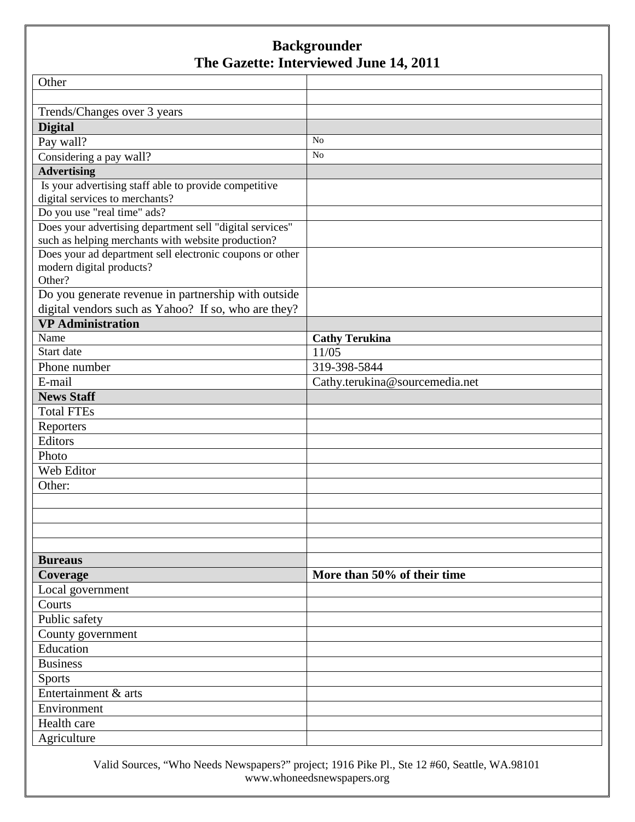| Other                                                    |                                |
|----------------------------------------------------------|--------------------------------|
|                                                          |                                |
| Trends/Changes over 3 years                              |                                |
| <b>Digital</b>                                           |                                |
| Pay wall?                                                | N <sub>o</sub>                 |
| Considering a pay wall?                                  | N <sub>o</sub>                 |
| <b>Advertising</b>                                       |                                |
| Is your advertising staff able to provide competitive    |                                |
| digital services to merchants?                           |                                |
| Do you use "real time" ads?                              |                                |
| Does your advertising department sell "digital services" |                                |
| such as helping merchants with website production?       |                                |
| Does your ad department sell electronic coupons or other |                                |
| modern digital products?                                 |                                |
| Other?                                                   |                                |
| Do you generate revenue in partnership with outside      |                                |
| digital vendors such as Yahoo? If so, who are they?      |                                |
| <b>VP</b> Administration                                 |                                |
| Name                                                     | <b>Cathy Terukina</b>          |
| Start date                                               | 11/05                          |
| Phone number                                             | 319-398-5844                   |
| E-mail                                                   | Cathy.terukina@sourcemedia.net |
| <b>News Staff</b>                                        |                                |
| <b>Total FTEs</b>                                        |                                |
| Reporters                                                |                                |
| Editors                                                  |                                |
| Photo                                                    |                                |
| Web Editor                                               |                                |
| Other:                                                   |                                |
|                                                          |                                |
|                                                          |                                |
|                                                          |                                |
|                                                          |                                |
| <b>Bureaus</b>                                           |                                |
| Coverage                                                 | More than 50% of their time    |
| Local government                                         |                                |
| Courts                                                   |                                |
| Public safety                                            |                                |
| County government                                        |                                |
| Education                                                |                                |
| <b>Business</b>                                          |                                |
| <b>Sports</b>                                            |                                |
| Entertainment & arts                                     |                                |
| Environment                                              |                                |
| Health care                                              |                                |
| Agriculture                                              |                                |

Valid Sources, "Who Needs Newspapers?" project; 1916 Pike Pl., Ste 12 #60, Seattle, WA.98101 www.whoneedsnewspapers.org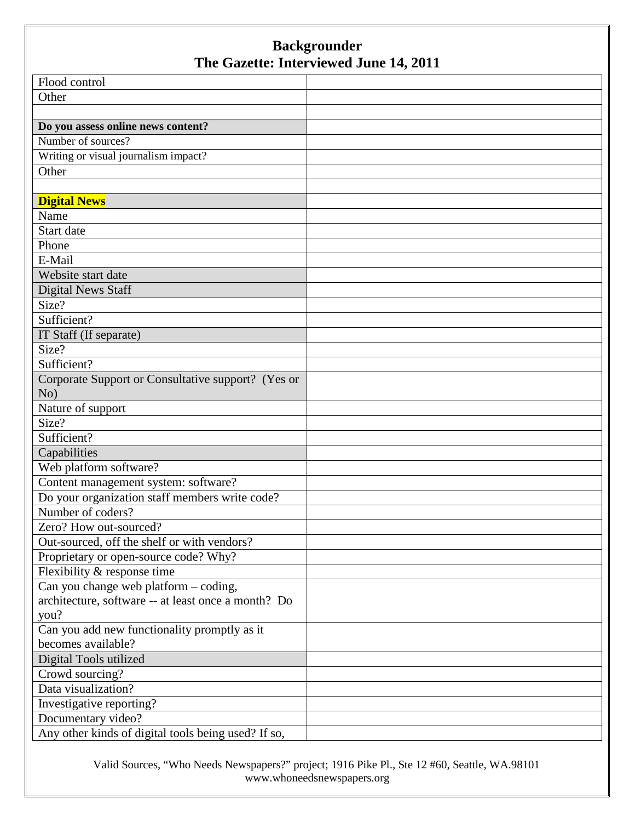| Flood control                                       |  |
|-----------------------------------------------------|--|
| Other                                               |  |
|                                                     |  |
| Do you assess online news content?                  |  |
| Number of sources?                                  |  |
| Writing or visual journalism impact?                |  |
| Other                                               |  |
|                                                     |  |
| <b>Digital News</b>                                 |  |
| Name                                                |  |
| Start date                                          |  |
| Phone                                               |  |
| E-Mail                                              |  |
| Website start date                                  |  |
| <b>Digital News Staff</b>                           |  |
| Size?                                               |  |
| Sufficient?                                         |  |
| IT Staff (If separate)                              |  |
| Size?                                               |  |
| Sufficient?                                         |  |
| Corporate Support or Consultative support? (Yes or  |  |
| No)                                                 |  |
| Nature of support                                   |  |
| Size?                                               |  |
| Sufficient?                                         |  |
| Capabilities                                        |  |
| Web platform software?                              |  |
| Content management system: software?                |  |
| Do your organization staff members write code?      |  |
| Number of coders?                                   |  |
| Zero? How out-sourced?                              |  |
| Out-sourced, off the shelf or with vendors?         |  |
| Proprietary or open-source code? Why?               |  |
| Flexibility & response time                         |  |
| Can you change web platform – coding,               |  |
| architecture, software -- at least once a month? Do |  |
| you?                                                |  |
| Can you add new functionality promptly as it        |  |
| becomes available?                                  |  |
| Digital Tools utilized                              |  |
| Crowd sourcing?                                     |  |
| Data visualization?                                 |  |
| Investigative reporting?                            |  |
| Documentary video?                                  |  |
| Any other kinds of digital tools being used? If so, |  |

Valid Sources, "Who Needs Newspapers?" project; 1916 Pike Pl., Ste 12 #60, Seattle, WA.98101 www.whoneedsnewspapers.org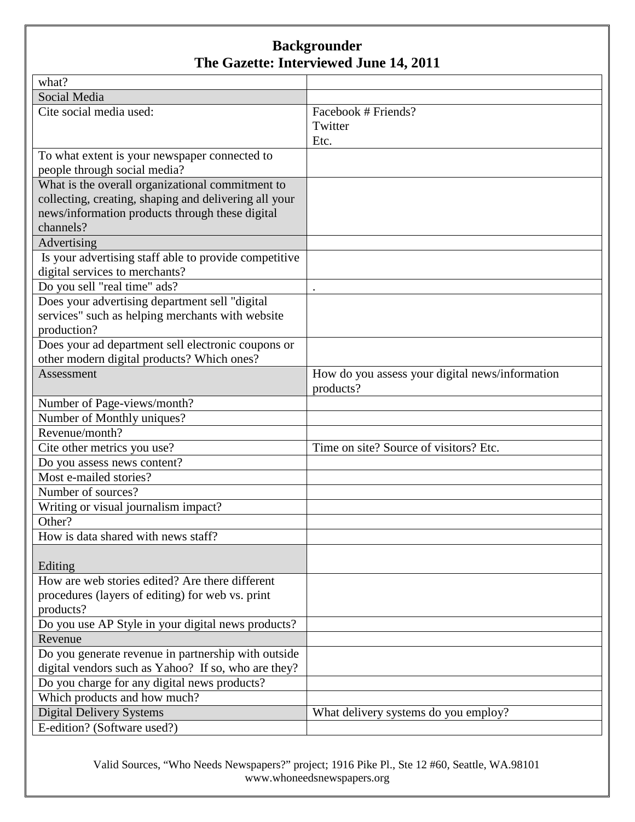| what?                                                    |                                                              |
|----------------------------------------------------------|--------------------------------------------------------------|
| Social Media                                             |                                                              |
| Cite social media used:                                  | Facebook # Friends?                                          |
|                                                          | Twitter                                                      |
|                                                          | Etc.                                                         |
| To what extent is your newspaper connected to            |                                                              |
| people through social media?                             |                                                              |
| What is the overall organizational commitment to         |                                                              |
| collecting, creating, shaping and delivering all your    |                                                              |
| news/information products through these digital          |                                                              |
| channels?                                                |                                                              |
| Advertising                                              |                                                              |
| Is your advertising staff able to provide competitive    |                                                              |
| digital services to merchants?                           |                                                              |
| Do you sell "real time" ads?                             |                                                              |
| Does your advertising department sell "digital           |                                                              |
| services" such as helping merchants with website         |                                                              |
| production?                                              |                                                              |
| Does your ad department sell electronic coupons or       |                                                              |
| other modern digital products? Which ones?<br>Assessment |                                                              |
|                                                          | How do you assess your digital news/information<br>products? |
| Number of Page-views/month?                              |                                                              |
| Number of Monthly uniques?                               |                                                              |
| Revenue/month?                                           |                                                              |
| Cite other metrics you use?                              | Time on site? Source of visitors? Etc.                       |
| Do you assess news content?                              |                                                              |
| Most e-mailed stories?                                   |                                                              |
| Number of sources?                                       |                                                              |
| Writing or visual journalism impact?                     |                                                              |
| Other?                                                   |                                                              |
| How is data shared with news staff?                      |                                                              |
|                                                          |                                                              |
| Editing                                                  |                                                              |
| How are web stories edited? Are there different          |                                                              |
| procedures (layers of editing) for web vs. print         |                                                              |
| products?                                                |                                                              |
| Do you use AP Style in your digital news products?       |                                                              |
| Revenue                                                  |                                                              |
| Do you generate revenue in partnership with outside      |                                                              |
| digital vendors such as Yahoo? If so, who are they?      |                                                              |
| Do you charge for any digital news products?             |                                                              |
| Which products and how much?                             |                                                              |
| <b>Digital Delivery Systems</b>                          | What delivery systems do you employ?                         |
| E-edition? (Software used?)                              |                                                              |

Valid Sources, "Who Needs Newspapers?" project; 1916 Pike Pl., Ste 12 #60, Seattle, WA.98101 www.whoneedsnewspapers.org